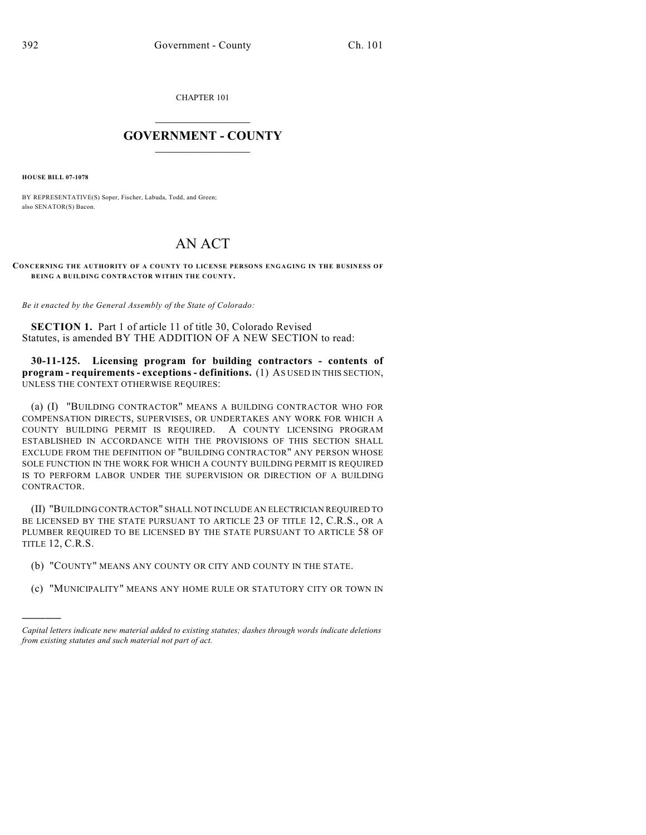CHAPTER 101

## $\overline{\phantom{a}}$  . The set of the set of the set of the set of the set of the set of the set of the set of the set of the set of the set of the set of the set of the set of the set of the set of the set of the set of the set o **GOVERNMENT - COUNTY**  $\_$

**HOUSE BILL 07-1078**

)))))

BY REPRESENTATIVE(S) Soper, Fischer, Labuda, Todd, and Green; also SENATOR(S) Bacon.

## AN ACT

**CONCERNING THE AUTHORITY OF A COUNTY TO LICENSE PERSONS ENGAGING IN THE BUSINESS OF BEING A BUILDING CONTRACTOR WITHIN THE COUNTY.**

*Be it enacted by the General Assembly of the State of Colorado:*

**SECTION 1.** Part 1 of article 11 of title 30, Colorado Revised Statutes, is amended BY THE ADDITION OF A NEW SECTION to read:

**30-11-125. Licensing program for building contractors - contents of program - requirements - exceptions - definitions.** (1) AS USED IN THIS SECTION, UNLESS THE CONTEXT OTHERWISE REQUIRES:

(a) (I) "BUILDING CONTRACTOR" MEANS A BUILDING CONTRACTOR WHO FOR COMPENSATION DIRECTS, SUPERVISES, OR UNDERTAKES ANY WORK FOR WHICH A COUNTY BUILDING PERMIT IS REQUIRED. A COUNTY LICENSING PROGRAM ESTABLISHED IN ACCORDANCE WITH THE PROVISIONS OF THIS SECTION SHALL EXCLUDE FROM THE DEFINITION OF "BUILDING CONTRACTOR" ANY PERSON WHOSE SOLE FUNCTION IN THE WORK FOR WHICH A COUNTY BUILDING PERMIT IS REQUIRED IS TO PERFORM LABOR UNDER THE SUPERVISION OR DIRECTION OF A BUILDING CONTRACTOR.

(II) "BUILDING CONTRACTOR" SHALL NOT INCLUDE AN ELECTRICIAN REQUIRED TO BE LICENSED BY THE STATE PURSUANT TO ARTICLE 23 OF TITLE 12, C.R.S., OR A PLUMBER REQUIRED TO BE LICENSED BY THE STATE PURSUANT TO ARTICLE 58 OF TITLE 12, C.R.S.

- (b) "COUNTY" MEANS ANY COUNTY OR CITY AND COUNTY IN THE STATE.
- (c) "MUNICIPALITY" MEANS ANY HOME RULE OR STATUTORY CITY OR TOWN IN

*Capital letters indicate new material added to existing statutes; dashes through words indicate deletions from existing statutes and such material not part of act.*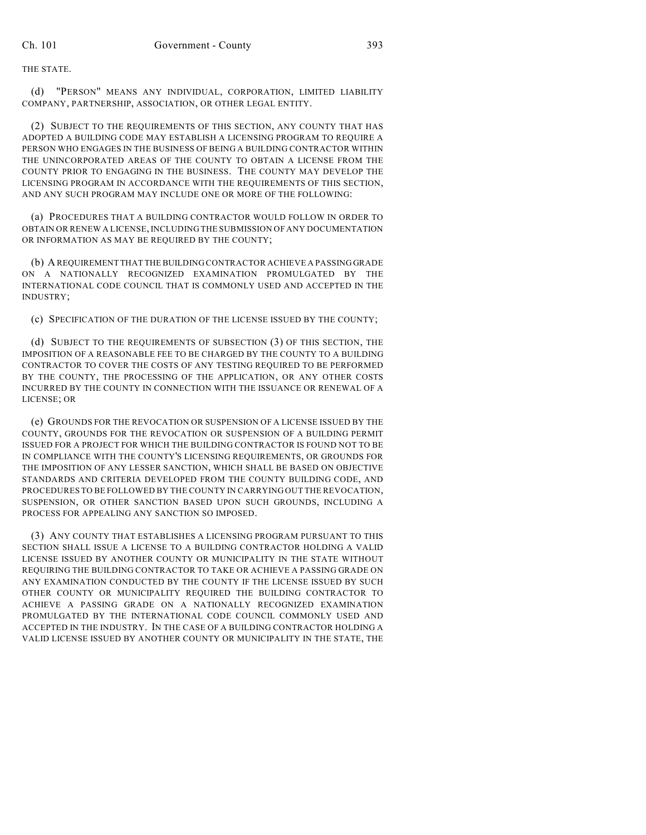THE STATE.

(d) "PERSON" MEANS ANY INDIVIDUAL, CORPORATION, LIMITED LIABILITY COMPANY, PARTNERSHIP, ASSOCIATION, OR OTHER LEGAL ENTITY.

(2) SUBJECT TO THE REQUIREMENTS OF THIS SECTION, ANY COUNTY THAT HAS ADOPTED A BUILDING CODE MAY ESTABLISH A LICENSING PROGRAM TO REQUIRE A PERSON WHO ENGAGES IN THE BUSINESS OF BEING A BUILDING CONTRACTOR WITHIN THE UNINCORPORATED AREAS OF THE COUNTY TO OBTAIN A LICENSE FROM THE COUNTY PRIOR TO ENGAGING IN THE BUSINESS. THE COUNTY MAY DEVELOP THE LICENSING PROGRAM IN ACCORDANCE WITH THE REQUIREMENTS OF THIS SECTION, AND ANY SUCH PROGRAM MAY INCLUDE ONE OR MORE OF THE FOLLOWING:

(a) PROCEDURES THAT A BUILDING CONTRACTOR WOULD FOLLOW IN ORDER TO OBTAIN OR RENEW A LICENSE, INCLUDING THE SUBMISSION OF ANY DOCUMENTATION OR INFORMATION AS MAY BE REQUIRED BY THE COUNTY;

(b) A REQUIREMENT THAT THE BUILDING CONTRACTOR ACHIEVE A PASSING GRADE ON A NATIONALLY RECOGNIZED EXAMINATION PROMULGATED BY THE INTERNATIONAL CODE COUNCIL THAT IS COMMONLY USED AND ACCEPTED IN THE INDUSTRY;

(c) SPECIFICATION OF THE DURATION OF THE LICENSE ISSUED BY THE COUNTY;

(d) SUBJECT TO THE REQUIREMENTS OF SUBSECTION (3) OF THIS SECTION, THE IMPOSITION OF A REASONABLE FEE TO BE CHARGED BY THE COUNTY TO A BUILDING CONTRACTOR TO COVER THE COSTS OF ANY TESTING REQUIRED TO BE PERFORMED BY THE COUNTY, THE PROCESSING OF THE APPLICATION, OR ANY OTHER COSTS INCURRED BY THE COUNTY IN CONNECTION WITH THE ISSUANCE OR RENEWAL OF A LICENSE; OR

(e) GROUNDS FOR THE REVOCATION OR SUSPENSION OF A LICENSE ISSUED BY THE COUNTY, GROUNDS FOR THE REVOCATION OR SUSPENSION OF A BUILDING PERMIT ISSUED FOR A PROJECT FOR WHICH THE BUILDING CONTRACTOR IS FOUND NOT TO BE IN COMPLIANCE WITH THE COUNTY'S LICENSING REQUIREMENTS, OR GROUNDS FOR THE IMPOSITION OF ANY LESSER SANCTION, WHICH SHALL BE BASED ON OBJECTIVE STANDARDS AND CRITERIA DEVELOPED FROM THE COUNTY BUILDING CODE, AND PROCEDURES TO BE FOLLOWED BY THE COUNTY IN CARRYING OUT THE REVOCATION, SUSPENSION, OR OTHER SANCTION BASED UPON SUCH GROUNDS, INCLUDING A PROCESS FOR APPEALING ANY SANCTION SO IMPOSED.

(3) ANY COUNTY THAT ESTABLISHES A LICENSING PROGRAM PURSUANT TO THIS SECTION SHALL ISSUE A LICENSE TO A BUILDING CONTRACTOR HOLDING A VALID LICENSE ISSUED BY ANOTHER COUNTY OR MUNICIPALITY IN THE STATE WITHOUT REQUIRING THE BUILDING CONTRACTOR TO TAKE OR ACHIEVE A PASSING GRADE ON ANY EXAMINATION CONDUCTED BY THE COUNTY IF THE LICENSE ISSUED BY SUCH OTHER COUNTY OR MUNICIPALITY REQUIRED THE BUILDING CONTRACTOR TO ACHIEVE A PASSING GRADE ON A NATIONALLY RECOGNIZED EXAMINATION PROMULGATED BY THE INTERNATIONAL CODE COUNCIL COMMONLY USED AND ACCEPTED IN THE INDUSTRY. IN THE CASE OF A BUILDING CONTRACTOR HOLDING A VALID LICENSE ISSUED BY ANOTHER COUNTY OR MUNICIPALITY IN THE STATE, THE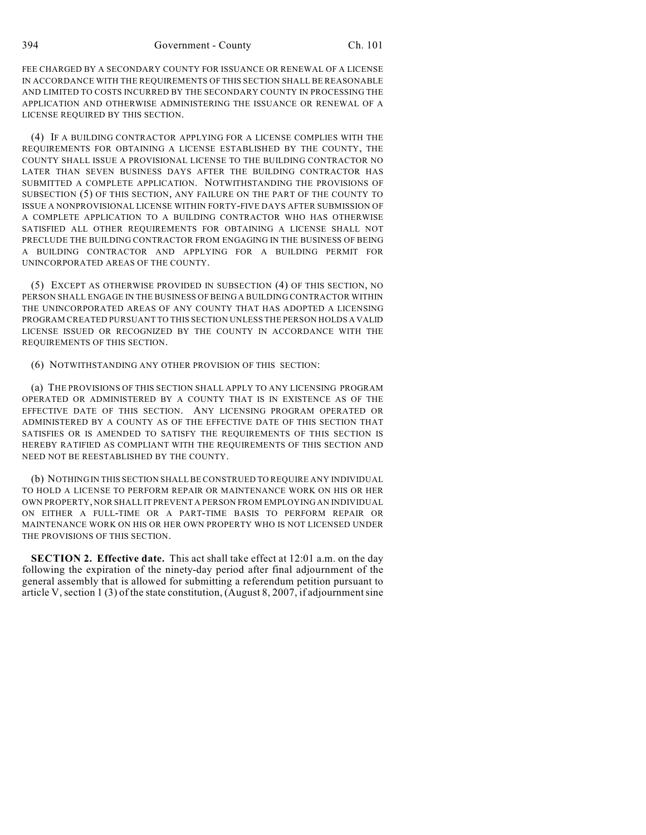394 Government - County Ch. 101

FEE CHARGED BY A SECONDARY COUNTY FOR ISSUANCE OR RENEWAL OF A LICENSE IN ACCORDANCE WITH THE REQUIREMENTS OF THIS SECTION SHALL BE REASONABLE AND LIMITED TO COSTS INCURRED BY THE SECONDARY COUNTY IN PROCESSING THE APPLICATION AND OTHERWISE ADMINISTERING THE ISSUANCE OR RENEWAL OF A LICENSE REQUIRED BY THIS SECTION.

(4) IF A BUILDING CONTRACTOR APPLYING FOR A LICENSE COMPLIES WITH THE REQUIREMENTS FOR OBTAINING A LICENSE ESTABLISHED BY THE COUNTY, THE COUNTY SHALL ISSUE A PROVISIONAL LICENSE TO THE BUILDING CONTRACTOR NO LATER THAN SEVEN BUSINESS DAYS AFTER THE BUILDING CONTRACTOR HAS SUBMITTED A COMPLETE APPLICATION. NOTWITHSTANDING THE PROVISIONS OF SUBSECTION (5) OF THIS SECTION, ANY FAILURE ON THE PART OF THE COUNTY TO ISSUE A NONPROVISIONAL LICENSE WITHIN FORTY-FIVE DAYS AFTER SUBMISSION OF A COMPLETE APPLICATION TO A BUILDING CONTRACTOR WHO HAS OTHERWISE SATISFIED ALL OTHER REQUIREMENTS FOR OBTAINING A LICENSE SHALL NOT PRECLUDE THE BUILDING CONTRACTOR FROM ENGAGING IN THE BUSINESS OF BEING A BUILDING CONTRACTOR AND APPLYING FOR A BUILDING PERMIT FOR UNINCORPORATED AREAS OF THE COUNTY.

(5) EXCEPT AS OTHERWISE PROVIDED IN SUBSECTION (4) OF THIS SECTION, NO PERSON SHALL ENGAGE IN THE BUSINESS OF BEING A BUILDING CONTRACTOR WITHIN THE UNINCORPORATED AREAS OF ANY COUNTY THAT HAS ADOPTED A LICENSING PROGRAM CREATED PURSUANT TO THIS SECTION UNLESS THE PERSON HOLDS A VALID LICENSE ISSUED OR RECOGNIZED BY THE COUNTY IN ACCORDANCE WITH THE REQUIREMENTS OF THIS SECTION.

(6) NOTWITHSTANDING ANY OTHER PROVISION OF THIS SECTION:

(a) THE PROVISIONS OF THIS SECTION SHALL APPLY TO ANY LICENSING PROGRAM OPERATED OR ADMINISTERED BY A COUNTY THAT IS IN EXISTENCE AS OF THE EFFECTIVE DATE OF THIS SECTION. ANY LICENSING PROGRAM OPERATED OR ADMINISTERED BY A COUNTY AS OF THE EFFECTIVE DATE OF THIS SECTION THAT SATISFIES OR IS AMENDED TO SATISFY THE REQUIREMENTS OF THIS SECTION IS HEREBY RATIFIED AS COMPLIANT WITH THE REQUIREMENTS OF THIS SECTION AND NEED NOT BE REESTABLISHED BY THE COUNTY.

(b) NOTHING IN THIS SECTION SHALL BE CONSTRUED TO REQUIRE ANY INDIVIDUAL TO HOLD A LICENSE TO PERFORM REPAIR OR MAINTENANCE WORK ON HIS OR HER OWN PROPERTY, NOR SHALL IT PREVENT A PERSON FROM EMPLOYING AN INDIVIDUAL ON EITHER A FULL-TIME OR A PART-TIME BASIS TO PERFORM REPAIR OR MAINTENANCE WORK ON HIS OR HER OWN PROPERTY WHO IS NOT LICENSED UNDER THE PROVISIONS OF THIS SECTION.

**SECTION 2. Effective date.** This act shall take effect at 12:01 a.m. on the day following the expiration of the ninety-day period after final adjournment of the general assembly that is allowed for submitting a referendum petition pursuant to article V, section 1 (3) of the state constitution, (August 8, 2007, if adjournment sine